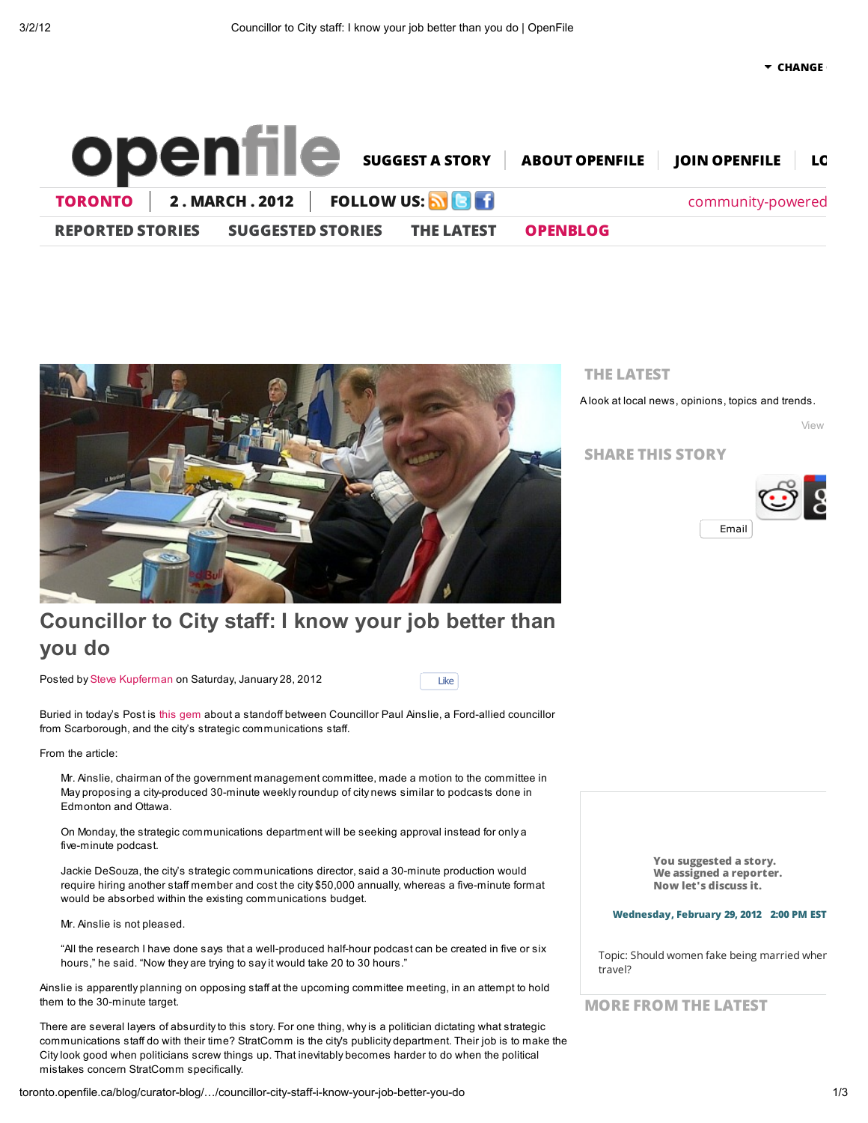

Like



# Councillor to City staff: I know your job better than you do

Posted by Steve Kupferman on Saturday, January 28, 2012

Buried in today's Post is this gem about a standoff between Councillor Paul Ainslie, a Ford-allied councillor from Scarborough, and the city's strategic communications staff.

From the article:

Mr. Ainslie, chairman of the government management committee, made a motion to the committee in May proposing a city-produced 30-minute weekly roundup of city news similar to podcasts done in Edmonton and Ottawa.

On Monday, the strategic communications department will be seeking approval instead for only a five-minute podcast.

Jackie DeSouza, the city's strategic communications director, said a 30-minute production would require hiring another staff member and cost the city \$50,000 annually, whereas a five-minute format would be absorbed within the existing communications budget.

Mr. Ainslie is not pleased.

"All the research I have done says that a well-produced half-hour podcast can be created in five or six hours," he said. "Now they are trying to say it would take 20 to 30 hours."

Ainslie is apparently planning on opposing staff at the upcoming committee meeting, in an attempt to hold them to the 30-minute target.

There are several layers of absurdity to this story. For one thing, why is a politician dictating what strategic communications staff do with their time? StratComm is the city's publicity department. Their job is to make the City look good when politicians screw things up. That inevitably becomes harder to do when the political mistakes concern StratComm specifically.

#### THE LATEST

A look at local news, opinions, topics and trends.

View

SHARE THIS STORY



You suggested a story. We assigned a reporter. Now let's discuss it.

#### Wednesday, February 29, 2012 2:00 PM EST

Topic: Should women fake being married wher travel?

MORE FROM THE LATEST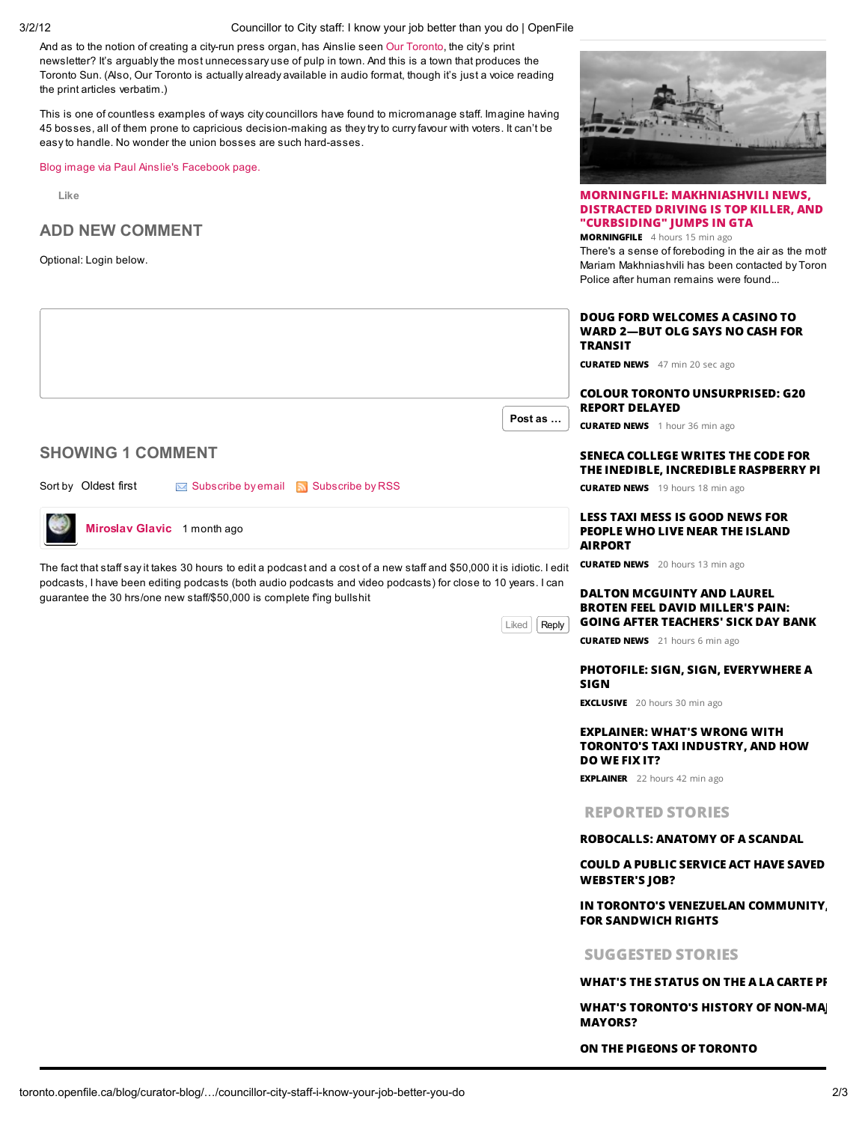3/2/12 Councillor to City staff: I know your job better than you do | OpenFile

And as to the notion of creating a city-run press organ, has Ainslie seen Our Toronto, the city's print newsletter? It's arguably the most unnecessary use of pulp in town. And this is a town that produces the Toronto Sun. (Also, Our Toronto is actually already available in audio format, though it's just a voice reading the print articles verbatim.)

This is one of countless examples of ways city councillors have found to micromanage staff. Imagine having 45 bosses, all of them prone to capricious decision-making as they try to curry favour with voters. It can't be easy to handle. No wonder the union bosses are such hard-asses.

Blog image via Paul Ainslie's Facebook page.

Like

### ADD NEW COMMENT

Optional: Login below.



# Miroslav Glavic 1 month ago

The fact that staff say it takes 30 hours to edit a podcast and a cost of a new staff and \$50,000 it is idiotic. I edit podcasts, I have been editing podcasts (both audio podcasts and video podcasts) for close to 10 years. I can guarantee the 30 hrs/one new staff/\$50,000 is complete f'ing bullshit

Liked | Reply



#### MORNINGFILE: MAKHNIASHVILI NEWS, DISTRACTED DRIVING IS TOP KILLER, AND "CURBSIDING" JUMPS IN GTA

MORNINGFILE 4 hours 15 min ago There's a sense of foreboding in the air as the moth Mariam Makhniashvili has been contacted by Toron Police after human remains were found...

|         | DOUG FORD WELCOMES A CASINO TO  |  |
|---------|---------------------------------|--|
|         | WARD 2—BUT OLG SAYS NO CASH FOR |  |
| TRANSIT |                                 |  |

COLOUR TORONTO UNSURPRISED: G20

CURATED NEWS 1 hour 36 min ago

### SENECA COLLEGE WRITES THE CODE FOR THE INEDIBLE, INCREDIBLE RASPBERRY PI

**CURATED NEWS** 19 hours 18 min ago

#### LESS TAXI MESS IS GOOD NEWS FOR PEOPLE WHO LIVE NEAR THE ISLAND AIRPORT

**CURATED NEWS** 20 hours 13 min ago

DALTON MCGUINTY AND LAUREL BROTEN FEEL DAVID MILLER'S PAIN: GOING AFTER TEACHERS' SICK DAY BANK

**CURATED NEWS** 21 hours 6 min ago

#### PHOTOFILE: SIGN, SIGN, EVERYWHERE A SIGN

**EXCLUSIVE** 20 hours 30 min ago

#### EXPLAINER: WHAT'S WRONG WITH TORONTO'S TAXI INDUSTRY, AND HOW DO WE FIX IT?

**EXPLAINER** 22 hours 42 min ago

#### REPORTED STORIES

#### ROBOCALLS: ANATOMY OF A SCANDAL

**COULD A PUBLIC SERVICE ACT HAVE SAVED** WEBSTER'S JOB?

#### IN TORONTO'S VENEZUELAN COMMUNITY FOR SANDWICH RIGHTS

SUGGESTED STORIES

#### WHAT'S THE STATUS ON THE A LA CARTE PI

WHAT'S TORONTO'S HISTORY OF NON-MA MAYORS?

ON THE PIGEONS OF TORONTO